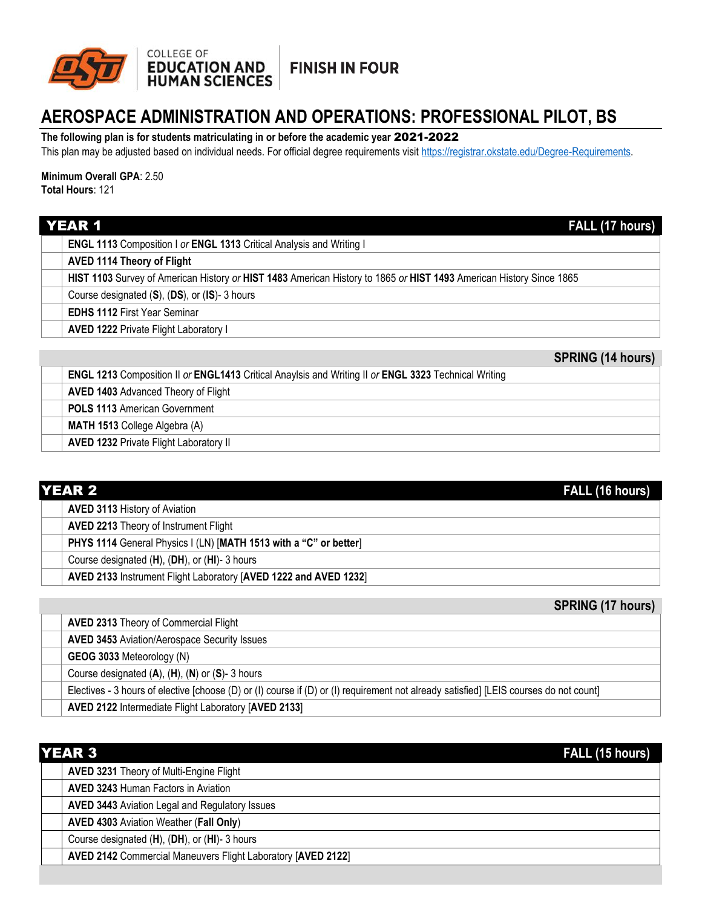

## **FINISH IN FOUR**

# **AEROSPACE ADMINISTRATION AND OPERATIONS: PROFESSIONAL PILOT, BS**

**The following plan is for students matriculating in or before the academic year** 2021-2022

This plan may be adjusted based on individual needs. For official degree requirements visit [https://registrar.okstate.edu/Degree-Requirements.](https://registrar.okstate.edu/Degree-Requirements)

### **Minimum Overall GPA**: 2.50 **Total Hours**: 121

| <b>YEAR 1</b>                                                                                                       | FALL (17 hours) |
|---------------------------------------------------------------------------------------------------------------------|-----------------|
| <b>ENGL 1113</b> Composition I or <b>ENGL 1313</b> Critical Analysis and Writing I                                  |                 |
| <b>AVED 1114 Theory of Flight</b>                                                                                   |                 |
| HIST 1103 Survey of American History or HIST 1483 American History to 1865 or HIST 1493 American History Since 1865 |                 |
| Course designated (S), (DS), or (IS)-3 hours                                                                        |                 |
| <b>EDHS 1112 First Year Seminar</b>                                                                                 |                 |
| <b>AVED 1222 Private Flight Laboratory I</b>                                                                        |                 |

**SPRING (14 hours)** 

| <b>ENGL 1213</b> Composition II or ENGL1413 Critical Anaylsis and Writing II or ENGL 3323 Technical Writing |                                               |  |
|-------------------------------------------------------------------------------------------------------------|-----------------------------------------------|--|
|                                                                                                             | <b>AVED 1403 Advanced Theory of Flight</b>    |  |
|                                                                                                             | <b>POLS 1113 American Government</b>          |  |
|                                                                                                             | <b>MATH 1513 College Algebra (A)</b>          |  |
|                                                                                                             | <b>AVED 1232 Private Flight Laboratory II</b> |  |

| <b>YEAR 2</b><br>FALL (16 hours)                                  |  |
|-------------------------------------------------------------------|--|
| <b>AVED 3113 History of Aviation</b>                              |  |
| <b>AVED 2213 Theory of Instrument Flight</b>                      |  |
| PHYS 1114 General Physics I (LN) [MATH 1513 with a "C" or better] |  |
| Course designated (H), (DH), or (HI)-3 hours                      |  |
| AVED 2133 Instrument Flight Laboratory [AVED 1222 and AVED 1232]  |  |

## **SPRING (17 hours)**

| <b>AVED 2313 Theory of Commercial Flight</b>                                                                                           |
|----------------------------------------------------------------------------------------------------------------------------------------|
| <b>AVED 3453 Aviation/Aerospace Security Issues</b>                                                                                    |
| GEOG 3033 Meteorology (N)                                                                                                              |
| Course designated $(A)$ , $(H)$ , $(N)$ or $(S)$ - 3 hours                                                                             |
| Electives - 3 hours of elective [choose (D) or (I) course if (D) or (I) requirement not already satisfied] [LEIS courses do not count] |
| AVED 2122 Intermediate Flight Laboratory [AVED 2133]                                                                                   |

| YEAR 3<br>FALL (15 hours)                                    |  |
|--------------------------------------------------------------|--|
| AVED 3231 Theory of Multi-Engine Flight                      |  |
| <b>AVED 3243 Human Factors in Aviation</b>                   |  |
| <b>AVED 3443 Aviation Legal and Regulatory Issues</b>        |  |
| <b>AVED 4303 Aviation Weather (Fall Only)</b>                |  |
| Course designated (H), (DH), or (HI)-3 hours                 |  |
| AVED 2142 Commercial Maneuvers Flight Laboratory [AVED 2122] |  |
|                                                              |  |